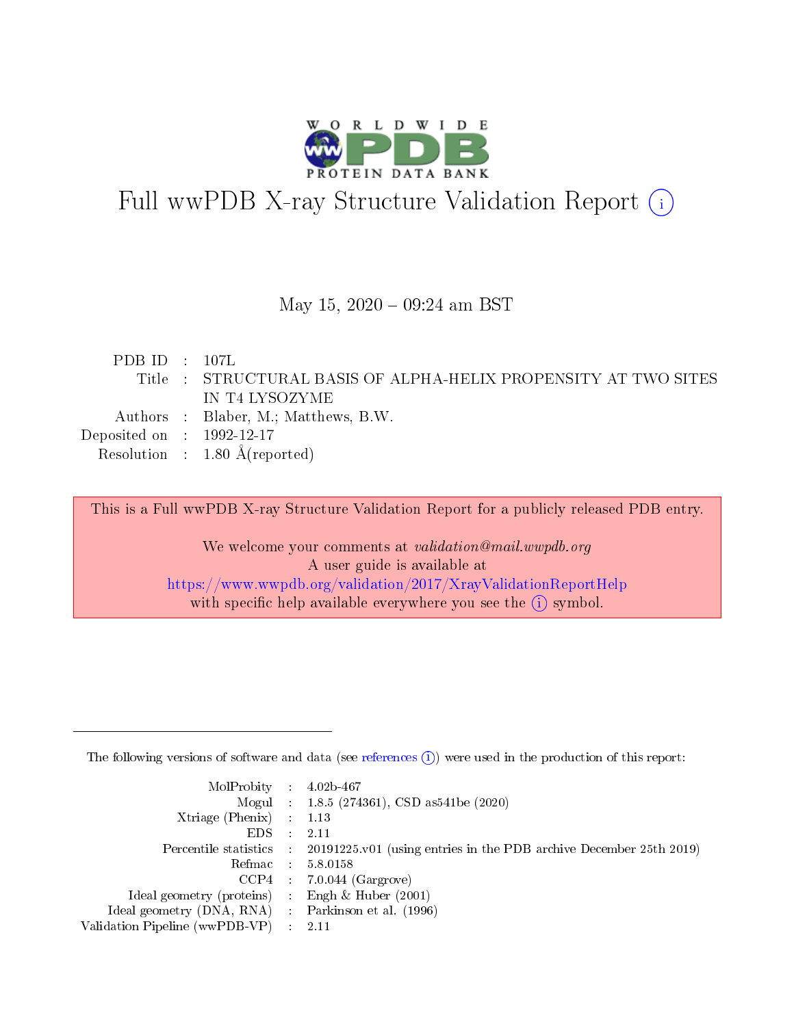

# Full wwPDB X-ray Structure Validation Report (i)

#### May 15,  $2020 - 09:24$  am BST

| PDBID : 107L                         |                                                                 |
|--------------------------------------|-----------------------------------------------------------------|
|                                      | Title : STRUCTURAL BASIS OF ALPHA-HELIX PROPENSITY AT TWO SITES |
|                                      | IN T4 LYSOZYME                                                  |
|                                      | Authors : Blaber, M.; Matthews, B.W.                            |
| Deposited on $\therefore$ 1992-12-17 |                                                                 |
|                                      | Resolution : $1.80 \text{ Å}$ (reported)                        |
|                                      |                                                                 |

This is a Full wwPDB X-ray Structure Validation Report for a publicly released PDB entry.

We welcome your comments at validation@mail.wwpdb.org A user guide is available at <https://www.wwpdb.org/validation/2017/XrayValidationReportHelp> with specific help available everywhere you see the  $(i)$  symbol.

The following versions of software and data (see [references](https://www.wwpdb.org/validation/2017/XrayValidationReportHelp#references)  $(1)$ ) were used in the production of this report:

| $MolProbability$ : 4.02b-467                      |                              |                                                                                            |
|---------------------------------------------------|------------------------------|--------------------------------------------------------------------------------------------|
|                                                   |                              | Mogul : $1.8.5$ (274361), CSD as 541be (2020)                                              |
| Xtriage (Phenix) $: 1.13$                         |                              |                                                                                            |
| EDS –                                             | $\sim$                       | -2.11                                                                                      |
|                                                   |                              | Percentile statistics : 20191225.v01 (using entries in the PDB archive December 25th 2019) |
| Refmac : 5.8.0158                                 |                              |                                                                                            |
| CCP4                                              |                              | $7.0.044$ (Gargrove)                                                                       |
| Ideal geometry (proteins)                         | $\mathcal{L}_{\mathrm{eff}}$ | Engh & Huber $(2001)$                                                                      |
| Ideal geometry (DNA, RNA) Parkinson et al. (1996) |                              |                                                                                            |
| Validation Pipeline (wwPDB-VP) : 2.11             |                              |                                                                                            |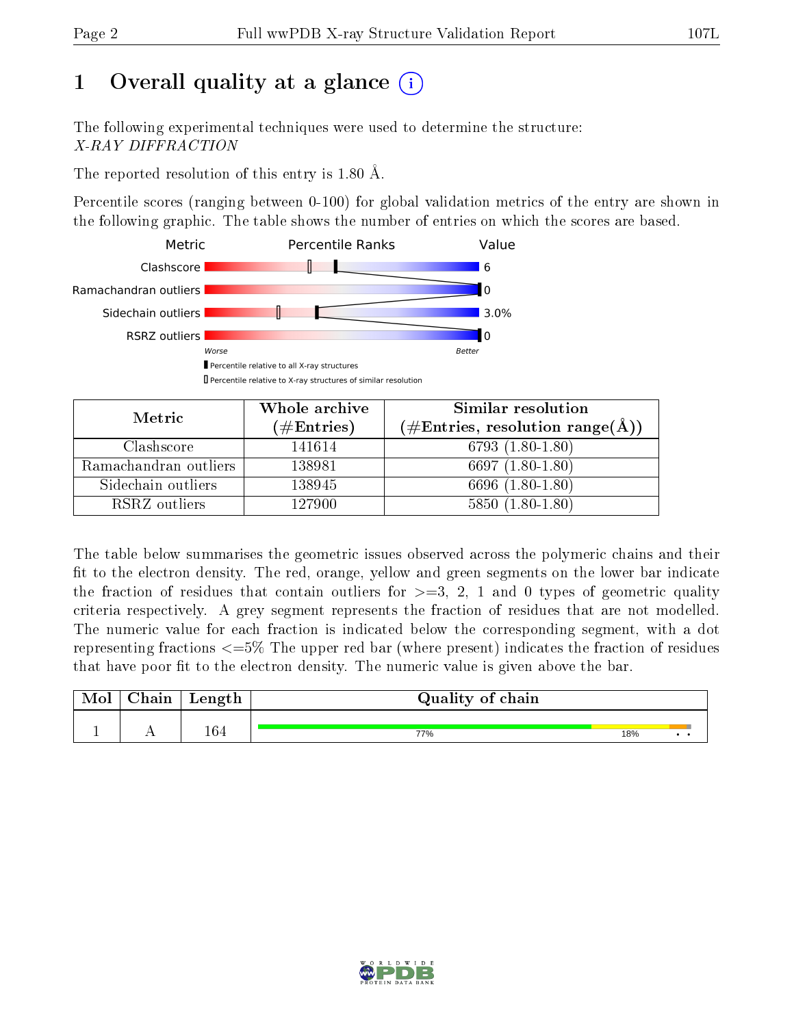## 1 [O](https://www.wwpdb.org/validation/2017/XrayValidationReportHelp#overall_quality)verall quality at a glance  $(i)$

The following experimental techniques were used to determine the structure: X-RAY DIFFRACTION

The reported resolution of this entry is 1.80 Å.

Percentile scores (ranging between 0-100) for global validation metrics of the entry are shown in the following graphic. The table shows the number of entries on which the scores are based.



| Metric                | Whole archive        | <b>Similar resolution</b>                                 |
|-----------------------|----------------------|-----------------------------------------------------------|
|                       | $(\#\text{Entries})$ | $(\#\text{Entries}, \text{resolution range}(\text{\AA}))$ |
| Clashscore            | 141614               | 6793 $(1.80-1.80)$                                        |
| Ramachandran outliers | 138981               | 6697 (1.80-1.80)                                          |
| Sidechain outliers    | 138945               | 6696 (1.80-1.80)                                          |
| RSRZ outliers         | 127900               | $5850(1.80-1.80)$                                         |

The table below summarises the geometric issues observed across the polymeric chains and their fit to the electron density. The red, orange, yellow and green segments on the lower bar indicate the fraction of residues that contain outliers for  $\geq=3$ , 2, 1 and 0 types of geometric quality criteria respectively. A grey segment represents the fraction of residues that are not modelled. The numeric value for each fraction is indicated below the corresponding segment, with a dot representing fractions  $\epsilon = 5\%$  The upper red bar (where present) indicates the fraction of residues that have poor fit to the electron density. The numeric value is given above the bar.

| Mol | Chain | Length | Quality of chain |     |  |
|-----|-------|--------|------------------|-----|--|
|     |       |        |                  |     |  |
|     |       | 164    | 77%              | 18% |  |

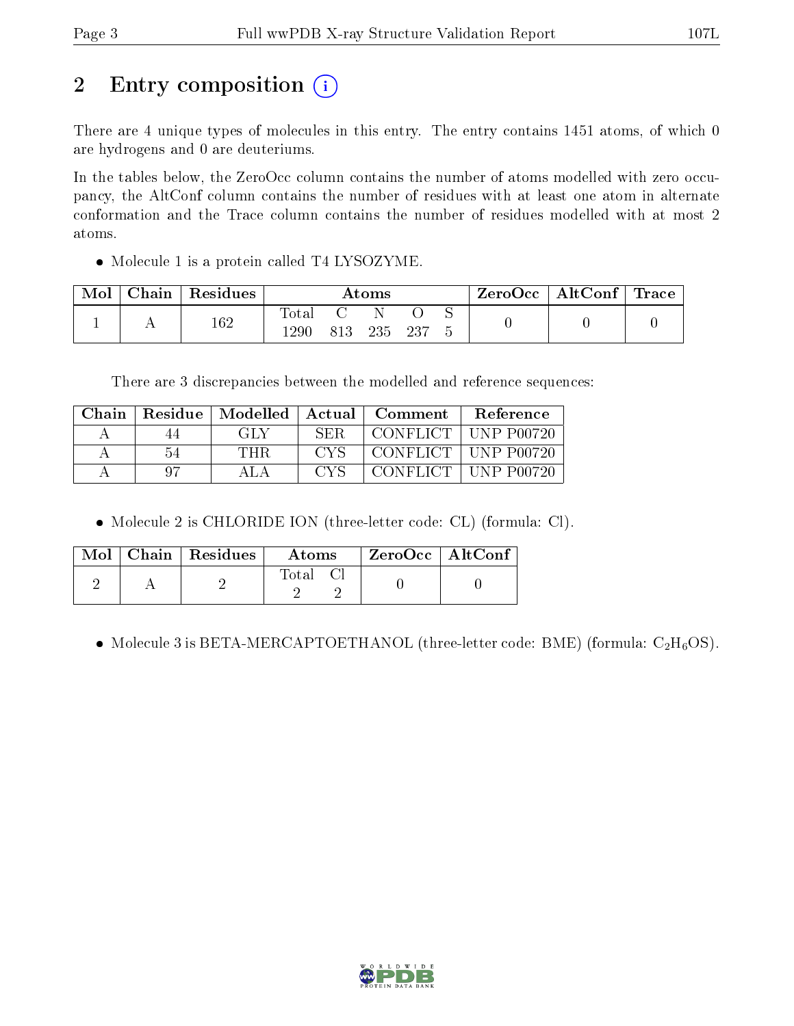## 2 Entry composition  $\left( \cdot \right)$

There are 4 unique types of molecules in this entry. The entry contains 1451 atoms, of which 0 are hydrogens and 0 are deuteriums.

In the tables below, the ZeroOcc column contains the number of atoms modelled with zero occupancy, the AltConf column contains the number of residues with at least one atom in alternate conformation and the Trace column contains the number of residues modelled with at most 2 atoms.

• Molecule 1 is a protein called T4 LYSOZYME.

| Mol | Chain | Residues | $\rm{Atoms}$  |     |     | $\rm ZeroOcc \mid AltConf \mid Trace$ |  |  |  |
|-----|-------|----------|---------------|-----|-----|---------------------------------------|--|--|--|
|     |       | 162      | Tota.<br>1290 | 813 | 235 | $-237$                                |  |  |  |

There are 3 discrepancies between the modelled and reference sequences:

| Chain | Residue | Modelled | Actual | $\bf {Comment}$ | <b>Reference</b>      |
|-------|---------|----------|--------|-----------------|-----------------------|
|       |         | GH Y     | SER    | CONFLICT .      | ' UNP P00720          |
|       | አ4      | THR      | C.V.S  |                 | CONFLICT   UNP P00720 |
|       |         |          |        | CONFLICT .      | UNP P00720            |

Molecule 2 is CHLORIDE ION (three-letter code: CL) (formula: Cl).

|  | $\text{Mol}$   Chain   Residues | Atoms    | $^+$ ZeroOcc $\, \,$ AltConf $\,$ |  |
|--|---------------------------------|----------|-----------------------------------|--|
|  |                                 | Total Cl |                                   |  |

• Molecule 3 is BETA-MERCAPTOETHANOL (three-letter code: BME) (formula:  $C_2H_6OS$ ).

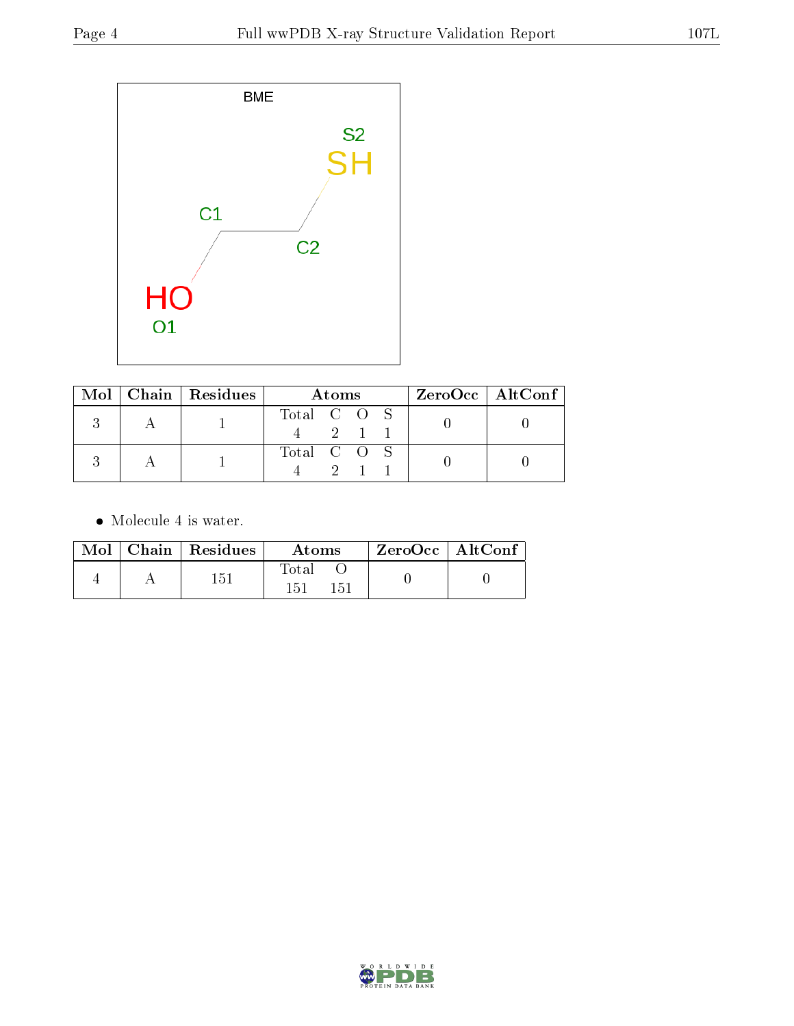

|  | Mol   Chain   Residues | Atoms       |  |          |  | $ZeroOcc \mid AltConf \mid$ |
|--|------------------------|-------------|--|----------|--|-----------------------------|
|  |                        | Total C O S |  | $-2$ 1 1 |  |                             |
|  |                        | Total C O S |  |          |  |                             |

• Molecule 4 is water.

|  | $Mol$   Chain   Residues | Atoms               |  | $ZeroOcc \   \ AltConf$ |
|--|--------------------------|---------------------|--|-------------------------|
|  | 151                      | Total<br>151<br>151 |  |                         |

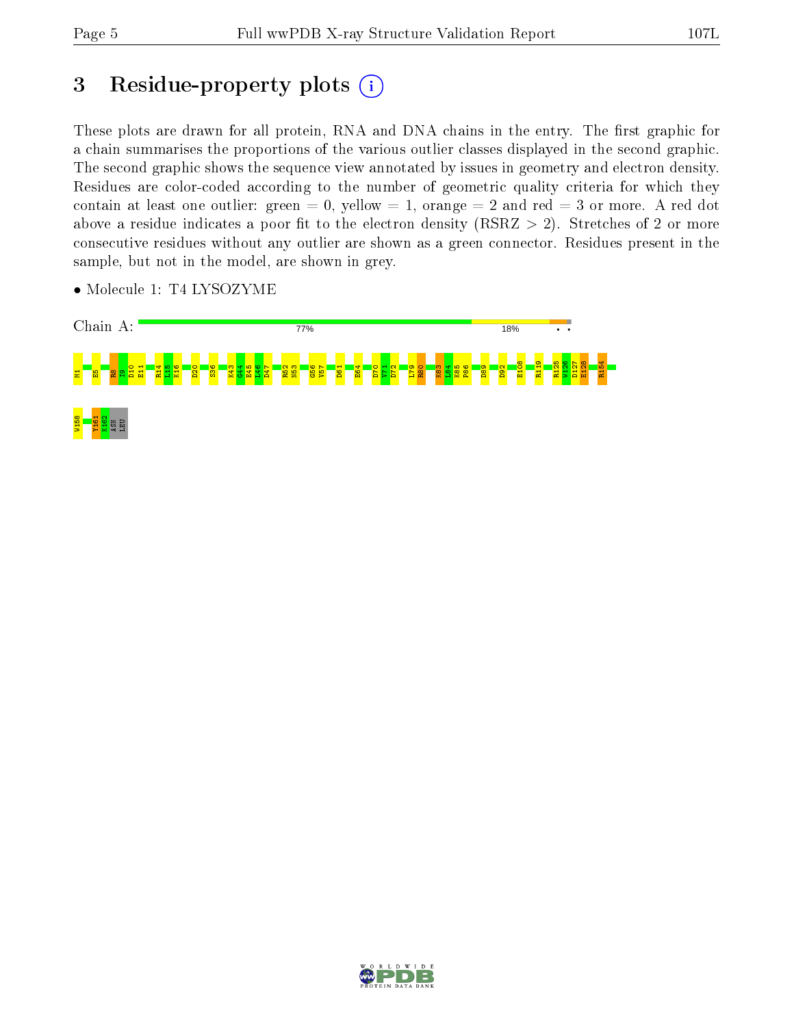## 3 Residue-property plots  $(i)$

These plots are drawn for all protein, RNA and DNA chains in the entry. The first graphic for a chain summarises the proportions of the various outlier classes displayed in the second graphic. The second graphic shows the sequence view annotated by issues in geometry and electron density. Residues are color-coded according to the number of geometric quality criteria for which they contain at least one outlier: green  $= 0$ , yellow  $= 1$ , orange  $= 2$  and red  $= 3$  or more. A red dot above a residue indicates a poor fit to the electron density (RSRZ  $> 2$ ). Stretches of 2 or more consecutive residues without any outlier are shown as a green connector. Residues present in the sample, but not in the model, are shown in grey.



• Molecule 1: T4 LYSOZYME

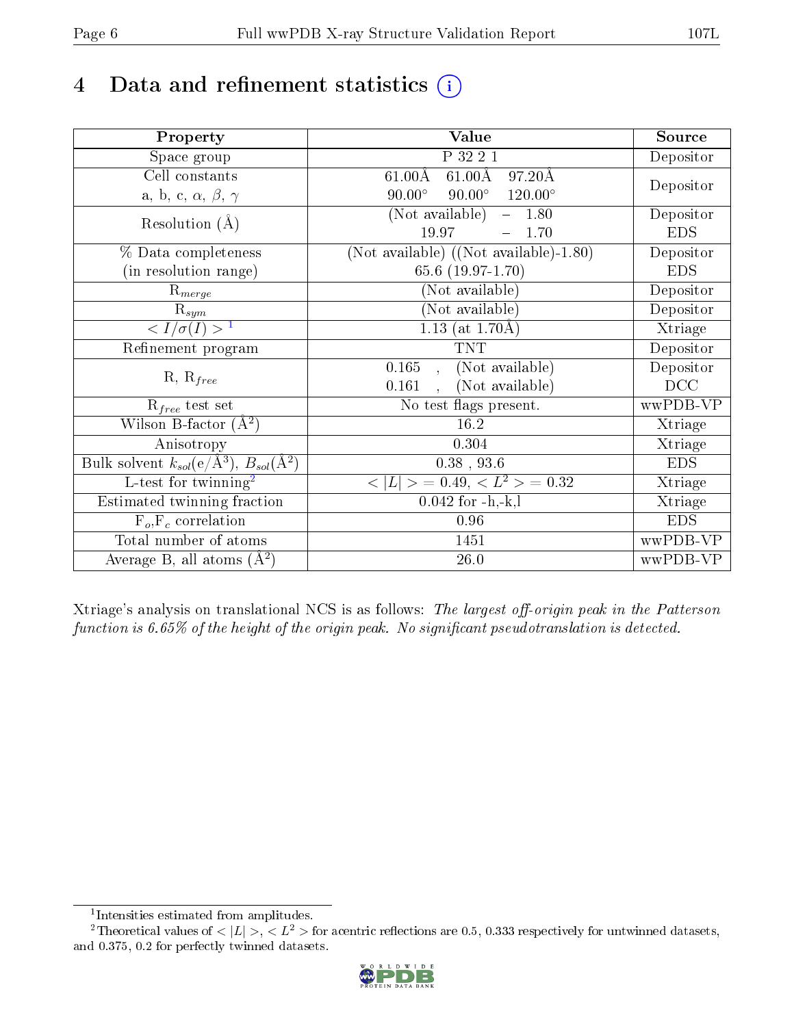## 4 Data and refinement statistics  $(i)$

| Property                                                             | Value                                                       | Source     |
|----------------------------------------------------------------------|-------------------------------------------------------------|------------|
| Space group                                                          | P 32 2 1                                                    | Depositor  |
| Cell constants                                                       | $61.00\text{\AA}$<br>$97.20\text{\AA}$<br>$61.00\text{\AA}$ | Depositor  |
| a, b, c, $\alpha$ , $\beta$ , $\gamma$                               | $90.00^\circ$<br>$90.00^\circ$<br>$120.00^\circ$            |            |
| Resolution $(A)$                                                     | $(\overline{\text{Not available}})$ –<br>1.80               | Depositor  |
|                                                                      | 19.97<br>1.70                                               | <b>EDS</b> |
| % Data completeness                                                  | (Not available) ((Not available)-1.80)                      | Depositor  |
| (in resolution range)                                                | 65.6 (19.97-1.70)                                           | <b>EDS</b> |
| $R_{merge}$                                                          | (Not available)                                             | Depositor  |
| $\mathrm{R}_{sym}$                                                   | (Not available)                                             | Depositor  |
| $\langle I/\sigma(I) \rangle^{-1}$                                   | 1.13 (at $1.70\text{\AA}$ )                                 | Xtriage    |
| Refinement program                                                   | <b>TNT</b>                                                  | Depositor  |
|                                                                      | 0.165<br>(Not available)<br>$\mathbf{A}$                    | Depositor  |
| $R, R_{free}$                                                        | (Not available)<br>0.161                                    | DCC        |
| $R_{free}$ test set                                                  | No test flags present.                                      | wwPDB-VP   |
| Wilson B-factor $(A^2)$                                              | 16.2                                                        | Xtriage    |
| Anisotropy                                                           | 0.304                                                       | Xtriage    |
| Bulk solvent $k_{sol}(e/\mathring{A}^3)$ , $B_{sol}(\mathring{A}^2)$ | $0.38$ , 93.6                                               | <b>EDS</b> |
| $\overline{L-test for }$ twinning <sup>2</sup>                       | $>$ = 0.49, < $L^2$ > = 0.32<br>< L                         | Xtriage    |
| Estimated twinning fraction                                          | $0.042$ for $-h,-k,l$                                       | Xtriage    |
| $F_o, F_c$ correlation                                               | 0.96                                                        | <b>EDS</b> |
| Total number of atoms                                                | 1451                                                        | wwPDB-VP   |
| Average B, all atoms $(A^2)$                                         | $26.0\,$                                                    | wwPDB-VP   |

Xtriage's analysis on translational NCS is as follows: The largest off-origin peak in the Patterson function is  $6.65\%$  of the height of the origin peak. No significant pseudotranslation is detected.

<sup>&</sup>lt;sup>2</sup>Theoretical values of  $\langle |L| \rangle$ ,  $\langle L^2 \rangle$  for acentric reflections are 0.5, 0.333 respectively for untwinned datasets, and 0.375, 0.2 for perfectly twinned datasets.



<span id="page-5-1"></span><span id="page-5-0"></span><sup>1</sup> Intensities estimated from amplitudes.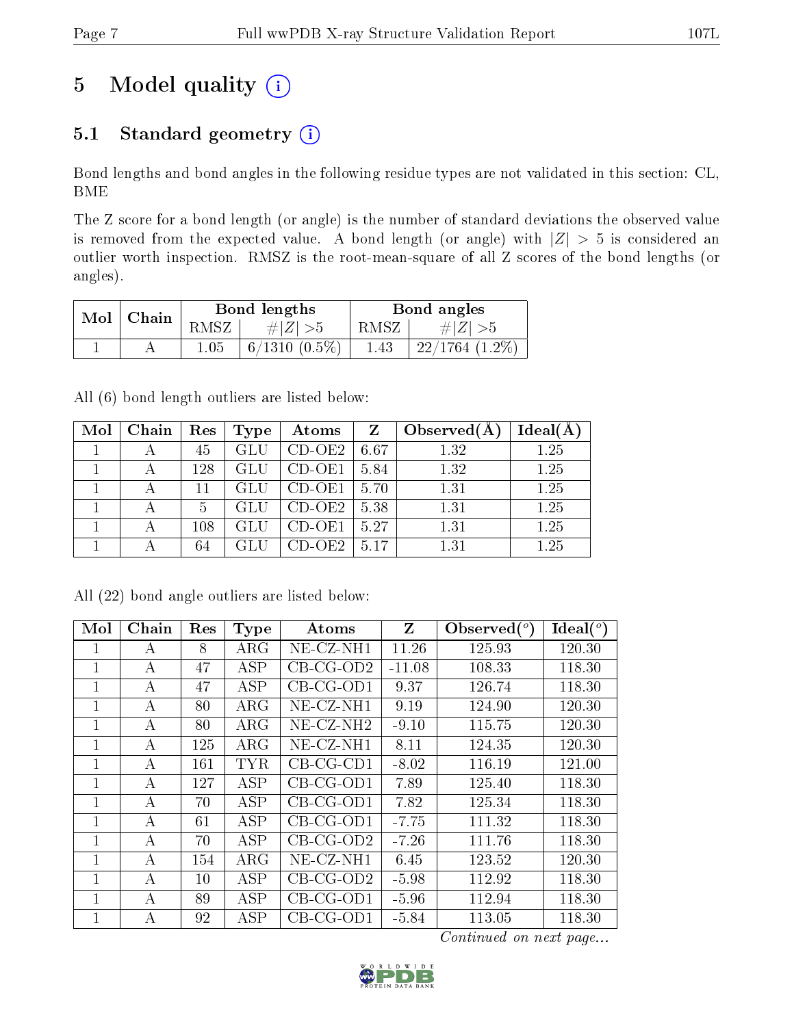## 5 Model quality  $(i)$

### 5.1 Standard geometry (i)

Bond lengths and bond angles in the following residue types are not validated in this section: CL, BME

The Z score for a bond length (or angle) is the number of standard deviations the observed value is removed from the expected value. A bond length (or angle) with  $|Z| > 5$  is considered an outlier worth inspection. RMSZ is the root-mean-square of all Z scores of the bond lengths (or angles).

| Mol | Chain |       | Bond lengths    | Bond angles |                     |  |
|-----|-------|-------|-----------------|-------------|---------------------|--|
|     |       | RMSZ- | $\# Z  > 5$     | RMSZ        | # Z  > 5            |  |
|     |       | 1.05  | $6/1310(0.5\%)$ | 1.43        | $22/1764$ $(1.2\%)$ |  |

All (6) bond length outliers are listed below:

| Mol | Chain | Res     | Type | Atoms    | Z    | Observed $(A)$ | Ideal(A |
|-----|-------|---------|------|----------|------|----------------|---------|
|     |       | 45      | GLU  | $CD-OE2$ | 6.67 | 1.32           | 1.25    |
|     |       | 128     | GLU  | $CD-OE1$ | 5.84 | 1.32           | 1.25    |
|     |       | 11      | GLU  | $CD-OE1$ | 5.70 | 1.31           | 1.25    |
|     |       | 5       | GLU  | $CD-OE2$ | 5.38 | 1.31           | 1.25    |
|     |       | $108\,$ |      | CD-OE1   | 5.27 | 1.31           | 1.25    |
|     |       | 64      |      | CD-OE2.  | 5.17 | 1.31           | 1.25    |

|  |  | All (22) bond angle outliers are listed below: |  |  |
|--|--|------------------------------------------------|--|--|
|  |  |                                                |  |  |

| Mol            | Chain | Res | <b>Type</b> | Atoms        | Z        | Observed $(°)$ | Ideal $(^\circ)$ |
|----------------|-------|-----|-------------|--------------|----------|----------------|------------------|
| 1              | A     | 8   | $\rm{ARG}$  | NE-CZ-NH1    | 11.26    | 125.93         | 120.30           |
| $\mathbf{1}$   | А     | 47  | ASP         | $CB-CG-OD2$  | $-11.08$ | 108.33         | 118.30           |
| 1              | А     | 47  | ASP         | $CB-CG-OD1$  | 9.37     | 126.74         | 118.30           |
| 1              | А     | 80  | $\rm{ARG}$  | NE-CZ-NH1    | 9.19     | 124.90         | 120.30           |
| 1              | А     | 80  | $\rm{ARG}$  | $NE-CZ-NH2$  | $-9.10$  | 115.75         | 120.30           |
| 1              | А     | 125 | $\rm{ARG}$  | $NE- CZ-NH1$ | 8.11     | 124.35         | 120.30           |
| $\mathbf 1$    | А     | 161 | <b>TYR</b>  | $CB-CG-CD1$  | $-8.02$  | 116.19         | 121.00           |
| 1              | А     | 127 | <b>ASP</b>  | $CB-CG-OD1$  | 7.89     | 125.40         | 118.30           |
| $\mathbf{1}$   | А     | 70  | <b>ASP</b>  | $CB-CG-OD1$  | 7.82     | 125.34         | 118.30           |
| 1              | A     | 61  | ASP         | $CB-CG-OD1$  | $-7.75$  | 111.32         | 118.30           |
| $\overline{1}$ | А     | 70  | <b>ASP</b>  | $CB-CG-OD2$  | $-7.26$  | 111.76         | 118.30           |
| 1              | А     | 154 | $\rm{ARG}$  | $NE$ -CZ-NH1 | 6.45     | 123.52         | 120.30           |
| 1              | А     | 10  | ASP         | $CB-CG-OD2$  | $-5.98$  | 112.92         | 118.30           |
| 1              | А     | 89  | ASP         | $CB-CG-OD1$  | $-5.96$  | 112.94         | 118.30           |
| 1              | А     | 92  | <b>ASP</b>  | $CB-CG-OD1$  | $-5.84$  | 113.05         | 118.30           |

Continued on next page...

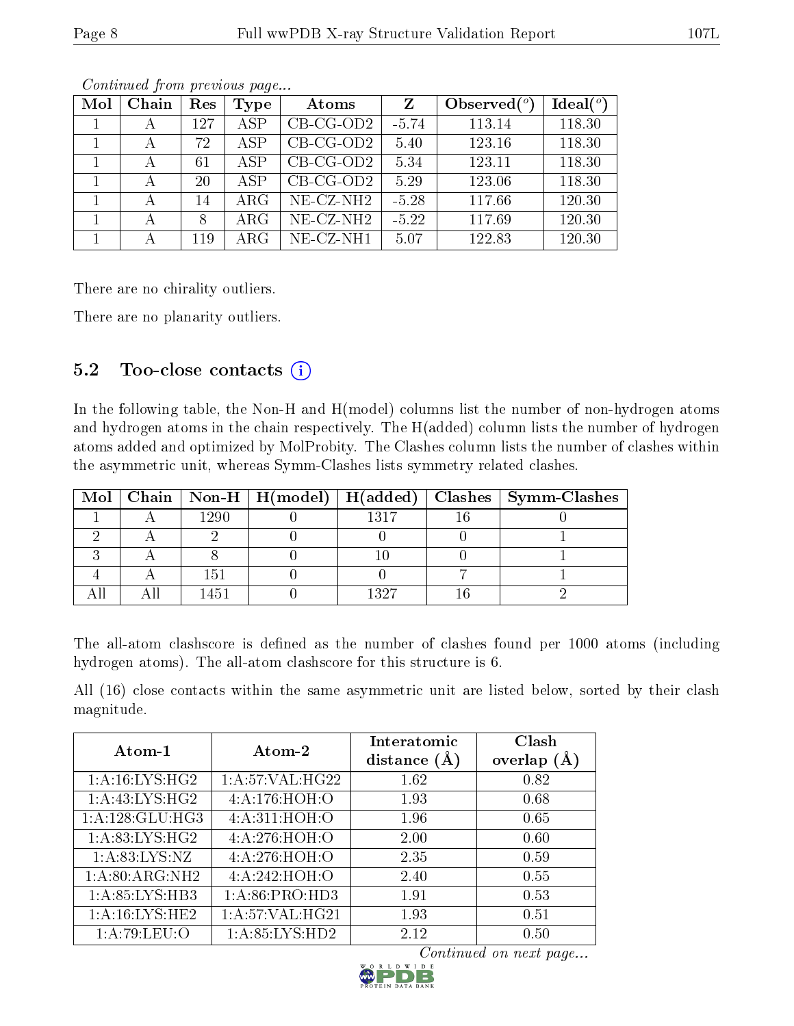| Mol | Chain | Res | Type       | Atoms                 | Z       | Observed $\binom{o}{c}$ | Ideal(°) |
|-----|-------|-----|------------|-----------------------|---------|-------------------------|----------|
|     |       | 127 | <b>ASP</b> | $CB-CG-OD2$           | $-5.74$ | 113.14                  | 118.30   |
|     |       | 72  | ASP        | $CB-CG-OD2$           | 5.40    | 123.16                  | 118.30   |
|     | А     | 61  | ASP        | $CB-CG-OD2$           | 5.34    | 123.11                  | 118.30   |
|     |       | 20  | ASP        | $CB-CG-OD2$           | 5.29    | 123.06                  | 118.30   |
|     |       | 14  | $\rm{ARG}$ | $NE$ - $CZ$ - $NH2$   | $-5.28$ | 117.66                  | 120.30   |
|     |       | 8   | $\rm{ARG}$ | NE-CZ-NH <sub>2</sub> | $-5.22$ | 117.69                  | 120.30   |
|     |       | 119 | ARG        | NE-CZ-NH1             | 5.07    | 122.83                  | 120.30   |

Continued from previous page...

There are no chirality outliers.

There are no planarity outliers.

### 5.2 Too-close contacts  $(i)$

In the following table, the Non-H and H(model) columns list the number of non-hydrogen atoms and hydrogen atoms in the chain respectively. The H(added) column lists the number of hydrogen atoms added and optimized by MolProbity. The Clashes column lists the number of clashes within the asymmetric unit, whereas Symm-Clashes lists symmetry related clashes.

|  |      |      | Mol   Chain   Non-H   H(model)   H(added)   Clashes   Symm-Clashes |
|--|------|------|--------------------------------------------------------------------|
|  | 1290 | 1317 |                                                                    |
|  |      |      |                                                                    |
|  |      |      |                                                                    |
|  | 151  |      |                                                                    |
|  |      | 1297 |                                                                    |

The all-atom clashscore is defined as the number of clashes found per 1000 atoms (including hydrogen atoms). The all-atom clashscore for this structure is 6.

All (16) close contacts within the same asymmetric unit are listed below, sorted by their clash magnitude.

| Atom-1                        | Atom-2                     | Interatomic<br>distance $(\AA)$ | Clash<br>overlap $(A)$ |
|-------------------------------|----------------------------|---------------------------------|------------------------|
| 1: A:16: LYS:HG2              | 1: A:57: VAL:HG22          | 1.62                            | 0.82                   |
| 1: A:43: LYS:HG2              | 4:A:176:HOH:O              | 1.93                            | 0.68                   |
| 1:A:128:GLU:HG3               | 4:A:311:HOH:O              | 1.96                            | 0.65                   |
| 1: A:83: LYS: HG2             | 4:A:276:HOH:O              | 2.00                            | 0.60                   |
| $1: A:83: LYS: \overline{NZ}$ | 4:A:276:HOH:O              | 2.35                            | 0.59                   |
| 1:A:80:ARG:NH2                | 4:A:242:HOH:O              | 2.40                            | 0.55                   |
| 1:A:85:LYS:HB3                | 1:A:86:PRO:H <sub>D3</sub> | 1.91                            | 0.53                   |
| 1: A:16: LYS: HE2             | 1: A:57: VAL:HG21          | 1.93                            | 0.51                   |
| 1:A:79:LEU:O                  | 1: A:85: LYS: HD2          | 2.12                            | 0.50                   |

Continued on next page...

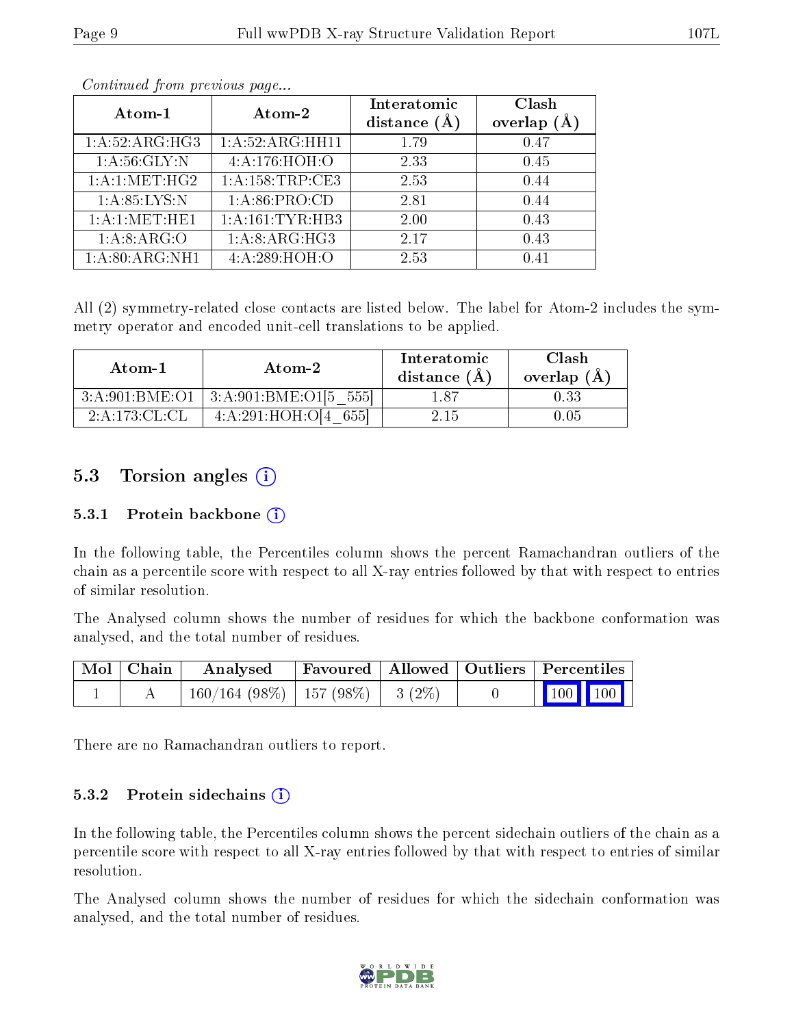|--|--|

| Atom-1          | Atom-2              | Interatomic<br>distance $(A)$ | Clash<br>overlap $(A)$ |
|-----------------|---------------------|-------------------------------|------------------------|
| 1:A:52:ARG:HG3  | 1:A:52:ARG:HH11     | 1.79                          | 0.47                   |
| 1: A:56: GLY:N  | 4:A:176:HOH:O       | 2.33                          | 0.45                   |
| 1: A:1: MET:HG2 | 1: A: 158: TRP: CE3 | 2.53                          | 0.44                   |
| 1: A:85:LYS:N   | 1: A:86: PRO:CD     | 2.81                          | 0.44                   |
| 1:A:1:MET:HE1   | 1: A:161:TYR:HB3    | 2.00                          | 0.43                   |
| 1:A:8:ARG:O     | 1: A:8: ARG:HG3     | 2.17                          | 0.43                   |
| 1:A:80:ARG:NH1  | 4:A:289:HOH:O       | 2.53                          | 0.41                   |

Continued from previous page...

All (2) symmetry-related close contacts are listed below. The label for Atom-2 includes the symmetry operator and encoded unit-cell translations to be applied.

| Atom-1           | Atom-2                        | Interatomic<br>distance $(A)$ | Clash<br>overlap $(A)$ |
|------------------|-------------------------------|-------------------------------|------------------------|
| 3: A:901:BME:O1  | $3:A:901:BME:O1[5 \quad 555]$ | l .87                         |                        |
| 2: A:173: CL: CL | 4: A:291:HOH:O[4]<br>6551     | -2-15-                        | .05                    |

### 5.3 Torsion angles  $(i)$

#### 5.3.1 Protein backbone  $(i)$

In the following table, the Percentiles column shows the percent Ramachandran outliers of the chain as a percentile score with respect to all X-ray entries followed by that with respect to entries of similar resolution.

The Analysed column shows the number of residues for which the backbone conformation was analysed, and the total number of residues.

| $\mid$ Mol $\mid$ Chain $\mid$ | Analysed                                | Favoured   Allowed   Outliers   Percentiles |  |                         |  |
|--------------------------------|-----------------------------------------|---------------------------------------------|--|-------------------------|--|
|                                | $160/164$ (98\%)   157 (98\%)   3 (2\%) |                                             |  | $\vert$ 100 100 $\vert$ |  |

There are no Ramachandran outliers to report.

#### 5.3.2 Protein sidechains  $(i)$

In the following table, the Percentiles column shows the percent sidechain outliers of the chain as a percentile score with respect to all X-ray entries followed by that with respect to entries of similar resolution.

The Analysed column shows the number of residues for which the sidechain conformation was analysed, and the total number of residues.

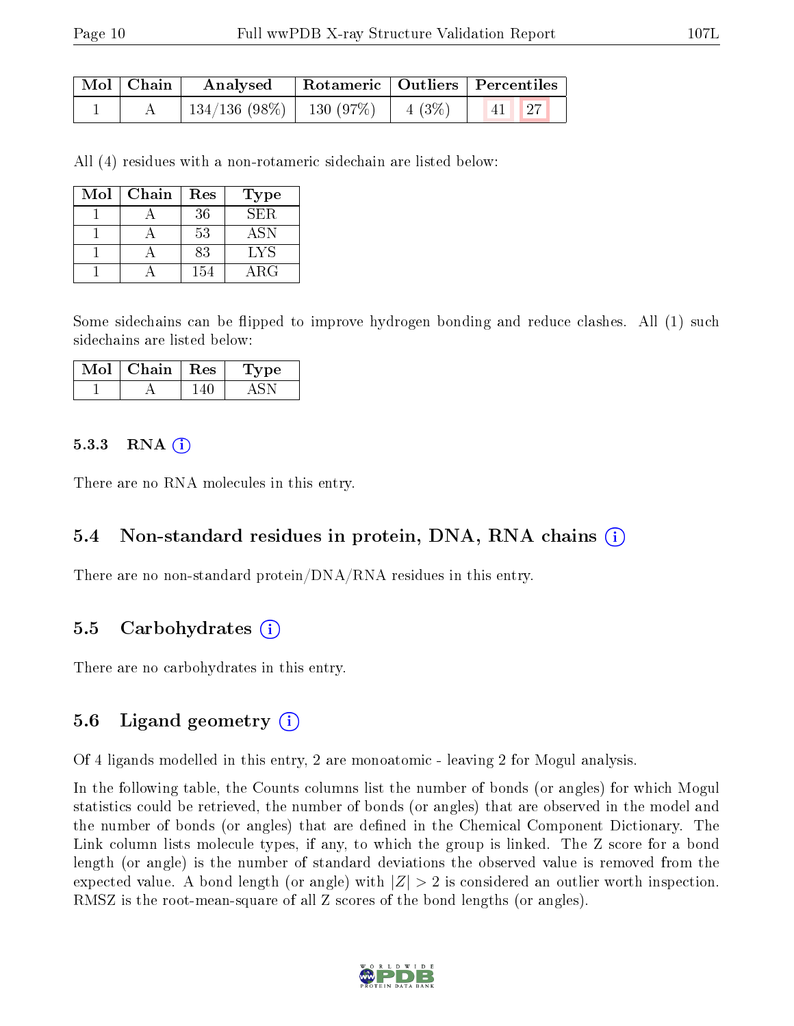| Mol   Chain | $\boldsymbol{\mathrm{Analysed}}$ |                   | Rotameric   Outliers   Percentiles |  |
|-------------|----------------------------------|-------------------|------------------------------------|--|
|             | $134/136$ (98\%)   130 (97\%)    | $\cdots$   4 (3%) | $\vert 41 \vert \vert 27 \vert$    |  |

All (4) residues with a non-rotameric sidechain are listed below:

| Mol | Chain | Res | Type       |
|-----|-------|-----|------------|
|     |       | 36  | SER.       |
|     |       | 53  | <b>ASN</b> |
|     |       | 83  | <b>LYS</b> |
|     |       | 154 | ARG        |

Some sidechains can be flipped to improve hydrogen bonding and reduce clashes. All (1) such sidechains are listed below:

| Mol | Chain   Res | vpe |
|-----|-------------|-----|
|     |             |     |

#### $5.3.3$  RNA  $(i)$

There are no RNA molecules in this entry.

#### 5.4 Non-standard residues in protein, DNA, RNA chains (i)

There are no non-standard protein/DNA/RNA residues in this entry.

#### 5.5 Carbohydrates (i)

There are no carbohydrates in this entry.

#### 5.6 Ligand geometry (i)

Of 4 ligands modelled in this entry, 2 are monoatomic - leaving 2 for Mogul analysis.

In the following table, the Counts columns list the number of bonds (or angles) for which Mogul statistics could be retrieved, the number of bonds (or angles) that are observed in the model and the number of bonds (or angles) that are defined in the Chemical Component Dictionary. The Link column lists molecule types, if any, to which the group is linked. The Z score for a bond length (or angle) is the number of standard deviations the observed value is removed from the expected value. A bond length (or angle) with  $|Z| > 2$  is considered an outlier worth inspection. RMSZ is the root-mean-square of all Z scores of the bond lengths (or angles).

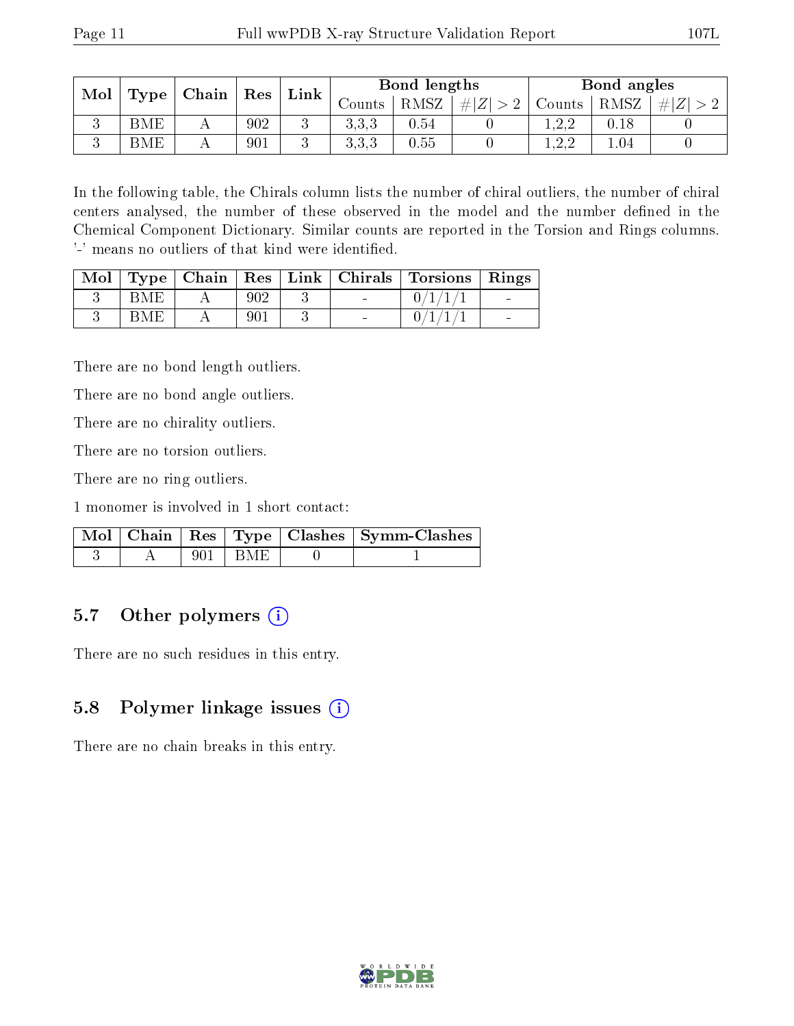| Mol | Type | $\mid$ Chain $\mid$ Res |     | Link | Bond lengths |      |             | Bond angles |      |         |
|-----|------|-------------------------|-----|------|--------------|------|-------------|-------------|------|---------|
|     |      |                         |     |      | Counts -     | RMSZ | $+  Z  > 2$ | Counts      | RMSZ | $\ E\ $ |
|     | BME  |                         | 902 |      | 3.3.3        | 0.54 |             |             |      |         |
|     | BME  |                         | 901 |      | こここ<br>0.0.0 | 0.55 |             | റല          | 1.04 |         |

In the following table, the Chirals column lists the number of chiral outliers, the number of chiral centers analysed, the number of these observed in the model and the number defined in the Chemical Component Dictionary. Similar counts are reported in the Torsion and Rings columns. '-' means no outliers of that kind were identified.

|     |     |                          | $\boxed{\text{Mol} \mid \text{Type} \mid \text{Chain} \mid \text{Res} \mid \text{Link} \mid \text{Chirals} \mid \text{Torsions} \mid \text{Rings}}$ |                          |
|-----|-----|--------------------------|-----------------------------------------------------------------------------------------------------------------------------------------------------|--------------------------|
| BME |     | $\sim$                   |                                                                                                                                                     | $\sim$ 100 $\mu$         |
| BME | 901 | $\overline{\phantom{a}}$ |                                                                                                                                                     | $\overline{\phantom{a}}$ |

There are no bond length outliers.

There are no bond angle outliers.

There are no chirality outliers.

There are no torsion outliers.

There are no ring outliers.

1 monomer is involved in 1 short contact:

|  |             | Mol   Chain   Res   Type   Clashes   Symm-Clashes |
|--|-------------|---------------------------------------------------|
|  | $901$   BME |                                                   |

### 5.7 [O](https://www.wwpdb.org/validation/2017/XrayValidationReportHelp#nonstandard_residues_and_ligands)ther polymers  $(i)$

There are no such residues in this entry.

### 5.8 Polymer linkage issues  $(i)$

There are no chain breaks in this entry.